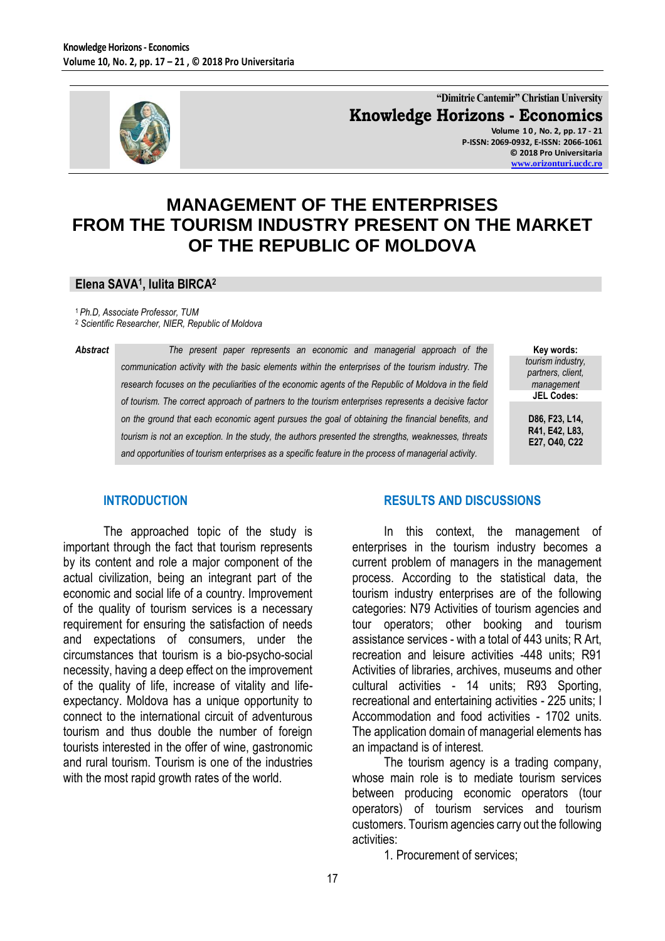

**"Dimitrie Cantemir" Christian University Knowledge Horizons - Economics Volume 1 0 , No. 2, pp. 17 - 21 P-ISSN: 2069-0932, E-ISSN: 2066-1061**

> **© 2018 Pro Universitaria [www.orizonturi.ucdc.ro](http://www.orizonturi.ucdc.ro/)**

# **MANAGEMENT OF THE ENTERPRISES FROM THE TOURISM INDUSTRY PRESENT ON THE MARKET OF THE REPUBLIC OF MOLDOVA**

#### **Elena SAVA<sup>1</sup> , Iulita BIRCA<sup>2</sup>**

<sup>1</sup>*Ph.D, Associate Professor, TUM*

<sup>2</sup> *Scientific Researcher, NIER, Republic of Moldova*

*Abstract The present paper represents an economic and managerial approach of the communication activity with the basic elements within the enterprises of the tourism industry. The research focuses on the peculiarities of the economic agents of the Republic of Moldova in the field of tourism. The correct approach of partners to the tourism enterprises represents a decisive factor on the ground that each economic agent pursues the goal of obtaining the financial benefits, and tourism is not an exception. In the study, the authors presented the strengths, weaknesses, threats and opportunities of tourism enterprises as a specific feature in the process of managerial activity.* 

| Key words:        |
|-------------------|
| tourism industry, |
| partners, client, |
| management        |
| <b>JEL Codes:</b> |
|                   |

**D86, F23, L14, R41, E42, L83, E27, O40, C22**

#### **INTRODUCTION**

The approached topic of the study is important through the fact that tourism represents by its content and role a major component of the actual civilization, being an integrant part of the economic and social life of a country. Improvement of the quality of tourism services is a necessary requirement for ensuring the satisfaction of needs and expectations of consumers, under the circumstances that tourism is a bio-psycho-social necessity, having a deep effect on the improvement of the quality of life, increase of vitality and lifeexpectancy. Moldova has a unique opportunity to connect to the international circuit of adventurous tourism and thus double the number of foreign tourists interested in the offer of wine, gastronomic and rural tourism. Tourism is one of the industries with the most rapid growth rates of the world.

#### **RESULTS AND DISCUSSIONS**

In this context, the management of enterprises in the tourism industry becomes a current problem of managers in the management process. According to the statistical data, the tourism industry enterprises are of the following categories: N79 Activities of tourism agencies and tour operators; other booking and tourism assistance services - with a total of 443 units; R Art, recreation and leisure activities -448 units; R91 Activities of libraries, archives, museums and other cultural activities - 14 units; R93 Sporting, recreational and entertaining activities - 225 units; I Accommodation and food activities - 1702 units. The application domain of managerial elements has an impactand is of interest.

The tourism agency is a trading company, whose main role is to mediate tourism services between producing economic operators (tour operators) of tourism services and tourism customers. Tourism agencies carry out the following activities:

1. Procurement of services;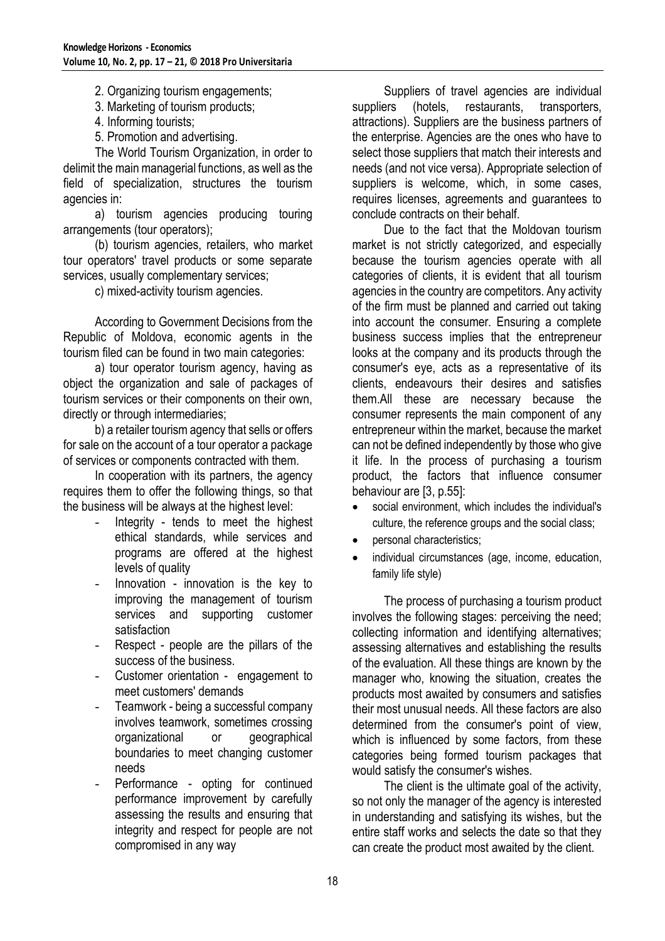2. Organizing tourism engagements;

3. Marketing of tourism products;

- 4. Informing tourists;
- 5. Promotion and advertising.

The World Tourism Organization, in order to delimit the main managerial functions, as well as the field of specialization, structures the tourism agencies in:

a) tourism agencies producing touring arrangements (tour operators);

(b) tourism agencies, retailers, who market tour operators' travel products or some separate services, usually complementary services;

c) mixed-activity tourism agencies.

According to Government Decisions from the Republic of Moldova, economic agents in the tourism filed can be found in two main categories:

a) tour operator tourism agency, having as object the organization and sale of packages of tourism services or their components on their own, directly or through intermediaries;

b) a retailer tourism agency that sells or offers for sale on the account of a tour operator a package of services or components contracted with them.

In cooperation with its partners, the agency requires them to offer the following things, so that the business will be always at the highest level:

- Integrity tends to meet the highest ethical standards, while services and programs are offered at the highest levels of quality
- Innovation innovation is the key to improving the management of tourism services and supporting customer satisfaction
- Respect people are the pillars of the success of the business.
- Customer orientation engagement to meet customers' demands
- Teamwork being a successful company involves teamwork, sometimes crossing organizational or geographical boundaries to meet changing customer needs
- Performance opting for continued performance improvement by carefully assessing the results and ensuring that integrity and respect for people are not compromised in any way

Suppliers of travel agencies are individual suppliers (hotels, restaurants, transporters, attractions). Suppliers are the business partners of the enterprise. Agencies are the ones who have to select those suppliers that match their interests and needs (and not vice versa). Appropriate selection of suppliers is welcome, which, in some cases, requires licenses, agreements and guarantees to conclude contracts on their behalf.

Due to the fact that the Moldovan tourism market is not strictly categorized, and especially because the tourism agencies operate with all categories of clients, it is evident that all tourism agencies in the country are competitors. Any activity of the firm must be planned and carried out taking into account the consumer. Ensuring a complete business success implies that the entrepreneur looks at the company and its products through the consumer's eye, acts as a representative of its clients, endeavours their desires and satisfies them.All these are necessary because the consumer represents the main component of any entrepreneur within the market, because the market can not be defined independently by those who give it life. In the process of purchasing a tourism product, the factors that influence consumer behaviour are [3, p.55]:

- social environment, which includes the individual's culture, the reference groups and the social class;
- personal characteristics;
- individual circumstances (age, income, education, family life style)

The process of purchasing a tourism product involves the following stages: perceiving the need; collecting information and identifying alternatives; assessing alternatives and establishing the results of the evaluation. All these things are known by the manager who, knowing the situation, creates the products most awaited by consumers and satisfies their most unusual needs. All these factors are also determined from the consumer's point of view, which is influenced by some factors, from these categories being formed tourism packages that would satisfy the consumer's wishes.

The client is the ultimate goal of the activity, so not only the manager of the agency is interested in understanding and satisfying its wishes, but the entire staff works and selects the date so that they can create the product most awaited by the client.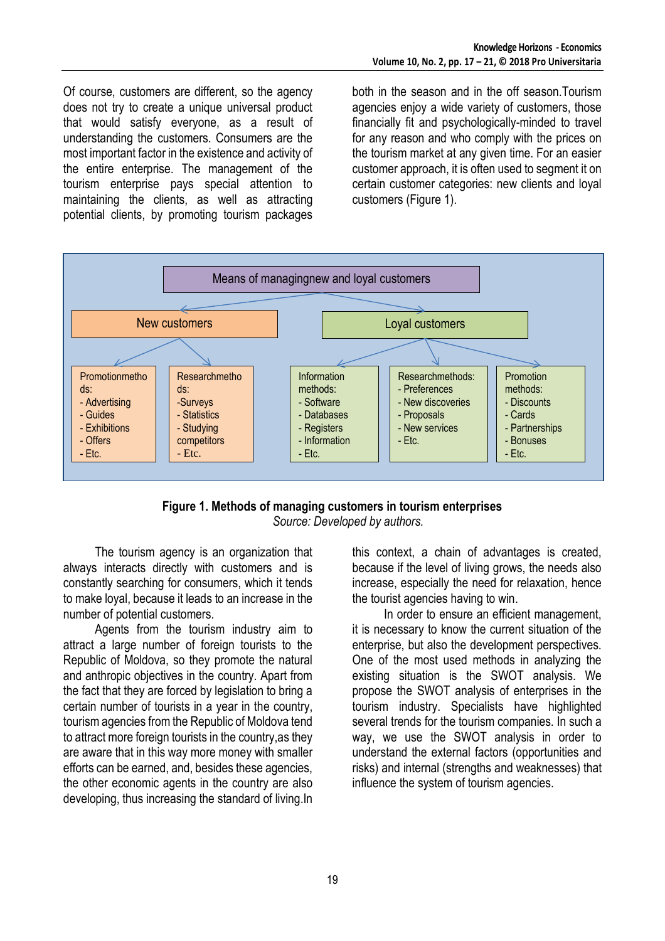Of course, customers are different, so the agency does not try to create a unique universal product that would satisfy everyone, as a result of understanding the customers. Consumers are the most important factor in the existence and activity of the entire enterprise. The management of the tourism enterprise pays special attention to maintaining the clients, as well as attracting potential clients, by promoting tourism packages

both in the season and in the off season.Tourism agencies enjoy a wide variety of customers, those financially fit and psychologically-minded to travel for any reason and who comply with the prices on the tourism market at any given time. For an easier customer approach, it is often used to segment it on certain customer categories: new clients and loyal customers (Figure 1).



#### **Figure 1. Methods of managing customers in tourism enterprises** *Source: Developed by authors.*

The tourism agency is an organization that always interacts directly with customers and is constantly searching for consumers, which it tends to make loyal, because it leads to an increase in the number of potential customers.

Agents from the tourism industry aim to attract a large number of foreign tourists to the Republic of Moldova, so they promote the natural and anthropic objectives in the country. Apart from the fact that they are forced by legislation to bring a certain number of tourists in a year in the country, tourism agencies from the Republic of Moldova tend to attract more foreign tourists in the country,as they are aware that in this way more money with smaller efforts can be earned, and, besides these agencies, the other economic agents in the country are also developing, thus increasing the standard of living.In

this context, a chain of advantages is created, because if the level of living grows, the needs also increase, especially the need for relaxation, hence the tourist agencies having to win.

In order to ensure an efficient management, it is necessary to know the current situation of the enterprise, but also the development perspectives. One of the most used methods in analyzing the existing situation is the SWOT analysis. We propose the SWOT analysis of enterprises in the tourism industry. Specialists have highlighted several trends for the tourism companies. In such a way, we use the SWOT analysis in order to understand the external factors (opportunities and risks) and internal (strengths and weaknesses) that influence the system of tourism agencies.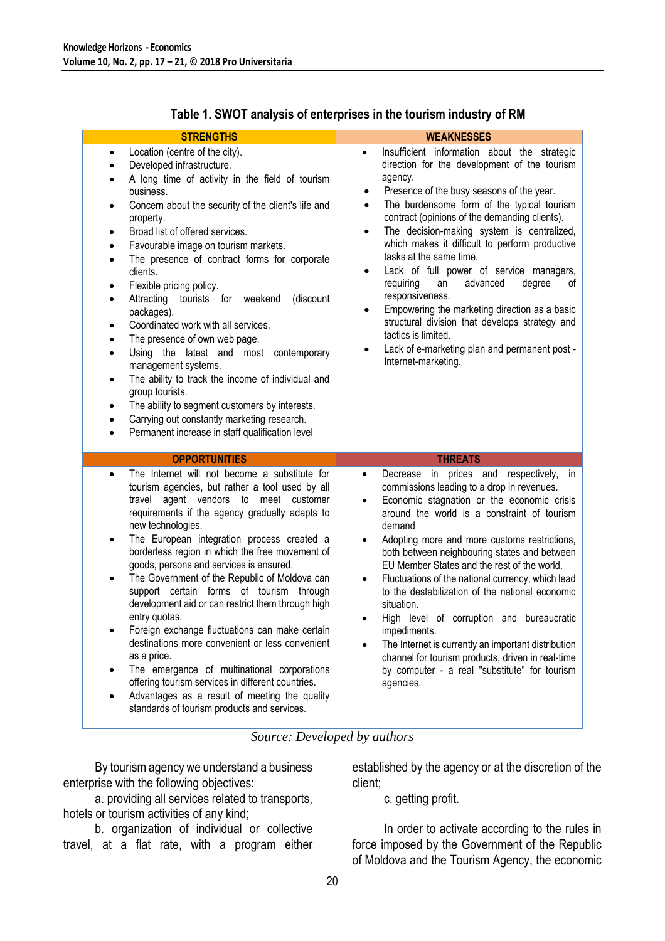| <b>STRENGTHS</b>                                                                                                                                                                                                                                                                                                                                                                                                                                                                                                                                                                                                                                                                                                                                                                                                                                                                                              | <b>WEAKNESSES</b>                                                                                                                                                                                                                                                                                                                                                                                                                                                                                                                                                                                                                                                                                                                                               |
|---------------------------------------------------------------------------------------------------------------------------------------------------------------------------------------------------------------------------------------------------------------------------------------------------------------------------------------------------------------------------------------------------------------------------------------------------------------------------------------------------------------------------------------------------------------------------------------------------------------------------------------------------------------------------------------------------------------------------------------------------------------------------------------------------------------------------------------------------------------------------------------------------------------|-----------------------------------------------------------------------------------------------------------------------------------------------------------------------------------------------------------------------------------------------------------------------------------------------------------------------------------------------------------------------------------------------------------------------------------------------------------------------------------------------------------------------------------------------------------------------------------------------------------------------------------------------------------------------------------------------------------------------------------------------------------------|
| Location (centre of the city).<br>٠<br>Developed infrastructure.<br>٠<br>A long time of activity in the field of tourism<br>٠<br>business.<br>Concern about the security of the client's life and<br>٠<br>property.<br>Broad list of offered services.<br>٠<br>Favourable image on tourism markets.<br>٠<br>The presence of contract forms for corporate<br>$\bullet$<br>clients.<br>Flexible pricing policy.<br>٠<br>Attracting tourists for weekend<br>(discount<br>$\bullet$<br>packages).<br>Coordinated work with all services.<br>٠<br>The presence of own web page.<br>٠<br>Using the latest and most contemporary<br>$\bullet$<br>management systems.<br>The ability to track the income of individual and<br>٠<br>group tourists.<br>The ability to segment customers by interests.<br>٠<br>Carrying out constantly marketing research.<br>٠<br>Permanent increase in staff qualification level<br>٠ | Insufficient information about the strategic<br>$\bullet$<br>direction for the development of the tourism<br>agency.<br>Presence of the busy seasons of the year.<br>$\bullet$<br>The burdensome form of the typical tourism<br>٠<br>contract (opinions of the demanding clients).<br>The decision-making system is centralized,<br>$\bullet$<br>which makes it difficult to perform productive<br>tasks at the same time.<br>Lack of full power of service managers,<br>$\bullet$<br>requiring<br>an<br>advanced<br>degree<br>οf<br>responsiveness.<br>Empowering the marketing direction as a basic<br>structural division that develops strategy and<br>tactics is limited.<br>Lack of e-marketing plan and permanent post -<br>Internet-marketing.          |
| <b>OPPORTUNITIES</b>                                                                                                                                                                                                                                                                                                                                                                                                                                                                                                                                                                                                                                                                                                                                                                                                                                                                                          | <b>THREATS</b>                                                                                                                                                                                                                                                                                                                                                                                                                                                                                                                                                                                                                                                                                                                                                  |
| The Internet will not become a substitute for<br>٠<br>tourism agencies, but rather a tool used by all<br>travel agent vendors to meet customer<br>requirements if the agency gradually adapts to<br>new technologies.<br>The European integration process created a<br>borderless region in which the free movement of<br>goods, persons and services is ensured.<br>The Government of the Republic of Moldova can<br>support certain forms of tourism through<br>development aid or can restrict them through high<br>entry quotas.<br>Foreign exchange fluctuations can make certain<br>destinations more convenient or less convenient<br>as a price.<br>The emergence of multinational corporations<br>٠<br>offering tourism services in different countries.<br>Advantages as a result of meeting the quality<br>٠<br>standards of tourism products and services.                                        | Decrease in prices and respectively,<br>in<br>$\bullet$<br>commissions leading to a drop in revenues.<br>Economic stagnation or the economic crisis<br>$\bullet$<br>around the world is a constraint of tourism<br>demand<br>Adopting more and more customs restrictions,<br>$\bullet$<br>both between neighbouring states and between<br>EU Member States and the rest of the world.<br>Fluctuations of the national currency, which lead<br>$\bullet$<br>to the destabilization of the national economic<br>situation.<br>High level of corruption and bureaucratic<br>impediments.<br>The Internet is currently an important distribution<br>channel for tourism products, driven in real-time<br>by computer - a real "substitute" for tourism<br>agencies. |

### **Table 1. SWOT analysis of enterprises in the tourism industry of RM**

#### *Source: Developed by authors*

By tourism agency we understand a business enterprise with the following objectives:

a. providing all services related to transports, hotels or tourism activities of any kind;

b. organization of individual or collective travel, at a flat rate, with a program either

established by the agency or at the discretion of the client;

c. getting profit.

In order to activate according to the rules in force imposed by the Government of the Republic of Moldova and the Tourism Agency, the economic